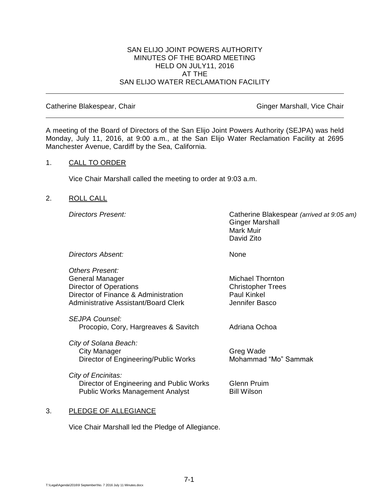### SAN ELIJO JOINT POWERS AUTHORITY MINUTES OF THE BOARD MEETING HELD ON JULY11, 2016 AT THE SAN ELIJO WATER RECLAMATION FACILITY

#### Catherine Blakespear, Chair Ginger Marshall, Vice Chair Ginger Marshall, Vice Chair

A meeting of the Board of Directors of the San Elijo Joint Powers Authority (SEJPA) was held Monday, July 11, 2016, at 9:00 a.m., at the San Elijo Water Reclamation Facility at 2695 Manchester Avenue, Cardiff by the Sea, California.

### 1. CALL TO ORDER

Vice Chair Marshall called the meeting to order at 9:03 a.m.

### 2. ROLL CALL

*Directors Present:* Catherine Blakespear *(arrived at 9:05 am)* Ginger Marshall Mark Muir David Zito

*Directors Absent:* None

*Others Present:* General Manager Michael Thornton Director of Operations Christopher Trees Director of Finance & Administration Paul Kinkel Administrative Assistant/Board Clerk The Multiple of Hennifer Basco

*SEJPA Counsel:* Procopio, Cory, Hargreaves & Savitch Adriana Ochoa

*City of Solana Beach:* City Manager Greg Wade Director of Engineering/Public Works Mohammad "Mo" Sammak

*City of Encinitas:* **Director of Engineering and Public Works Glenn Pruim** Public Works Management Analyst Bill Wilson

### 3. PLEDGE OF ALLEGIANCE

Vice Chair Marshall led the Pledge of Allegiance.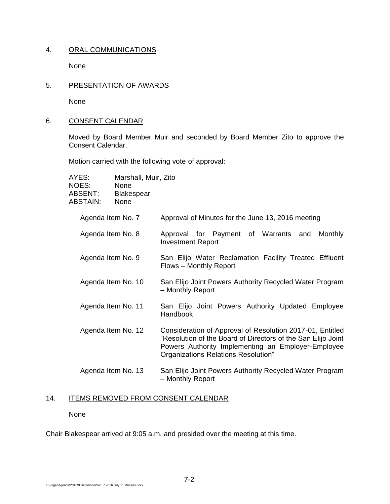# 4. ORAL COMMUNICATIONS

None

5. PRESENTATION OF AWARDS

None

6. CONSENT CALENDAR

Moved by Board Member Muir and seconded by Board Member Zito to approve the Consent Calendar.

Motion carried with the following vote of approval:

| AYES:<br>NOES:<br>ABSENT:<br>ABSTAIN: | Marshall, Muir, Zito<br><b>None</b><br><b>Blakespear</b><br>None |                                                                                                                                                                                                                        |
|---------------------------------------|------------------------------------------------------------------|------------------------------------------------------------------------------------------------------------------------------------------------------------------------------------------------------------------------|
| Agenda Item No. 7                     |                                                                  | Approval of Minutes for the June 13, 2016 meeting                                                                                                                                                                      |
| Agenda Item No. 8                     |                                                                  | Approval for Payment of Warrants and<br><b>Monthly</b><br><b>Investment Report</b>                                                                                                                                     |
| Agenda Item No. 9                     |                                                                  | San Elijo Water Reclamation Facility Treated Effluent<br>Flows - Monthly Report                                                                                                                                        |
| Agenda Item No. 10                    |                                                                  | San Elijo Joint Powers Authority Recycled Water Program<br>- Monthly Report                                                                                                                                            |
| Agenda Item No. 11                    |                                                                  | San Elijo Joint Powers Authority Updated Employee<br>Handbook                                                                                                                                                          |
| Agenda Item No. 12                    |                                                                  | Consideration of Approval of Resolution 2017-01, Entitled<br>"Resolution of the Board of Directors of the San Elijo Joint<br>Powers Authority Implementing an Employer-Employee<br>Organizations Relations Resolution" |
| Agenda Item No. 13                    |                                                                  | San Elijo Joint Powers Authority Recycled Water Program<br>- Monthly Report                                                                                                                                            |

# 14. ITEMS REMOVED FROM CONSENT CALENDAR

None

Chair Blakespear arrived at 9:05 a.m. and presided over the meeting at this time.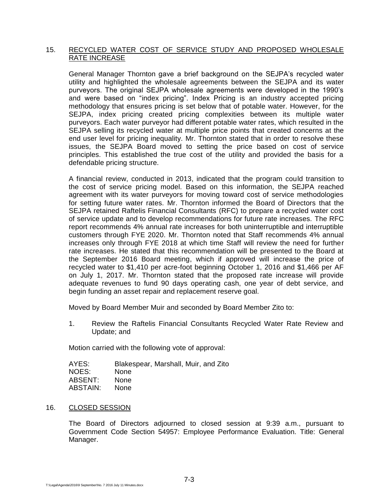## 15. RECYCLED WATER COST OF SERVICE STUDY AND PROPOSED WHOLESALE RATE INCREASE

General Manager Thornton gave a brief background on the SEJPA's recycled water utility and highlighted the wholesale agreements between the SEJPA and its water purveyors. The original SEJPA wholesale agreements were developed in the 1990's and were based on "index pricing". Index Pricing is an industry accepted pricing methodology that ensures pricing is set below that of potable water. However, for the SEJPA, index pricing created pricing complexities between its multiple water purveyors. Each water purveyor had different potable water rates, which resulted in the SEJPA selling its recycled water at multiple price points that created concerns at the end user level for pricing inequality. Mr. Thornton stated that in order to resolve these issues, the SEJPA Board moved to setting the price based on cost of service principles. This established the true cost of the utility and provided the basis for a defendable pricing structure.

A financial review, conducted in 2013, indicated that the program could transition to the cost of service pricing model. Based on this information, the SEJPA reached agreement with its water purveyors for moving toward cost of service methodologies for setting future water rates. Mr. Thornton informed the Board of Directors that the SEJPA retained Raftelis Financial Consultants (RFC) to prepare a recycled water cost of service update and to develop recommendations for future rate increases. The RFC report recommends 4% annual rate increases for both uninterruptible and interruptible customers through FYE 2020. Mr. Thornton noted that Staff recommends 4% annual increases only through FYE 2018 at which time Staff will review the need for further rate increases. He stated that this recommendation will be presented to the Board at the September 2016 Board meeting, which if approved will increase the price of recycled water to \$1,410 per acre-foot beginning October 1, 2016 and \$1,466 per AF on July 1, 2017. Mr. Thornton stated that the proposed rate increase will provide adequate revenues to fund 90 days operating cash, one year of debt service, and begin funding an asset repair and replacement reserve goal.

Moved by Board Member Muir and seconded by Board Member Zito to:

1. Review the Raftelis Financial Consultants Recycled Water Rate Review and Update; and

Motion carried with the following vote of approval:

| AYES:    | Blakespear, Marshall, Muir, and Zito |
|----------|--------------------------------------|
| NOES:    | <b>None</b>                          |
| ABSENT:  | <b>None</b>                          |
| ABSTAIN: | <b>None</b>                          |

## 16. CLOSED SESSION

The Board of Directors adjourned to closed session at 9:39 a.m., pursuant to Government Code Section 54957: Employee Performance Evaluation. Title: General Manager.